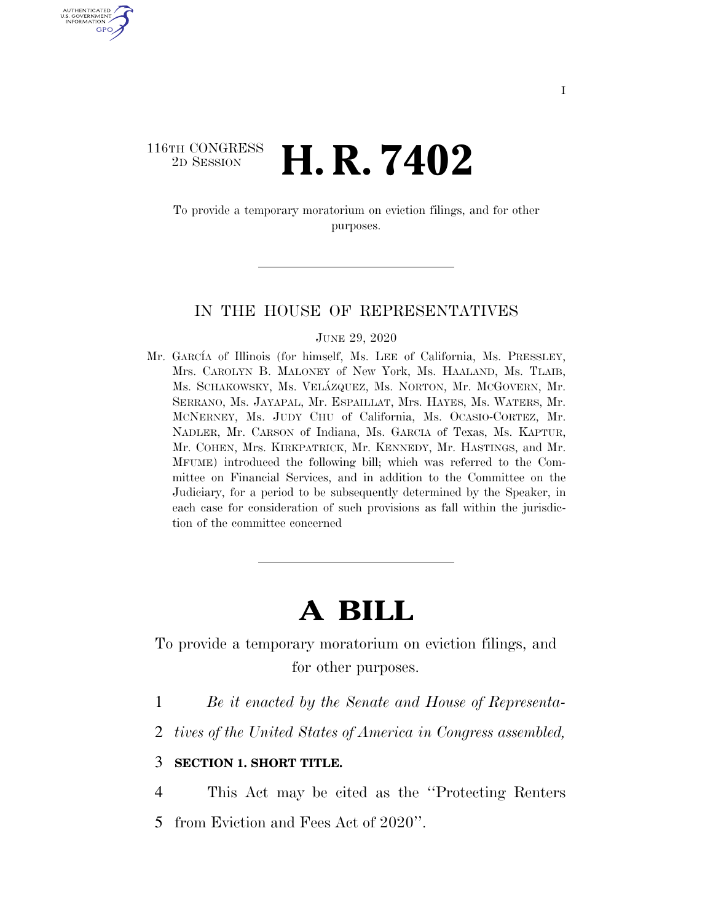## 116TH CONGRESS<br>2D SESSION 2D SESSION **H. R. 7402**

U.S. GOVERNMENT GPO

> To provide a temporary moratorium on eviction filings, and for other purposes.

## IN THE HOUSE OF REPRESENTATIVES

JUNE 29, 2020

Mr. GARCÍA of Illinois (for himself, Ms. LEE of California, Ms. PRESSLEY, Mrs. CAROLYN B. MALONEY of New York, Ms. HAALAND, Ms. TLAIB, Ms. SCHAKOWSKY, Ms. VELA´ZQUEZ, Ms. NORTON, Mr. MCGOVERN, Mr. SERRANO, Ms. JAYAPAL, Mr. ESPAILLAT, Mrs. HAYES, Ms. WATERS, Mr. MCNERNEY, Ms. JUDY CHU of California, Ms. OCASIO-CORTEZ, Mr. NADLER, Mr. CARSON of Indiana, Ms. GARCIA of Texas, Ms. KAPTUR, Mr. COHEN, Mrs. KIRKPATRICK, Mr. KENNEDY, Mr. HASTINGS, and Mr. MFUME) introduced the following bill; which was referred to the Committee on Financial Services, and in addition to the Committee on the Judiciary, for a period to be subsequently determined by the Speaker, in each case for consideration of such provisions as fall within the jurisdiction of the committee concerned

## **A BILL**

To provide a temporary moratorium on eviction filings, and for other purposes.

- 1 *Be it enacted by the Senate and House of Representa-*
- 2 *tives of the United States of America in Congress assembled,*

## 3 **SECTION 1. SHORT TITLE.**

4 This Act may be cited as the ''Protecting Renters 5 from Eviction and Fees Act of 2020''.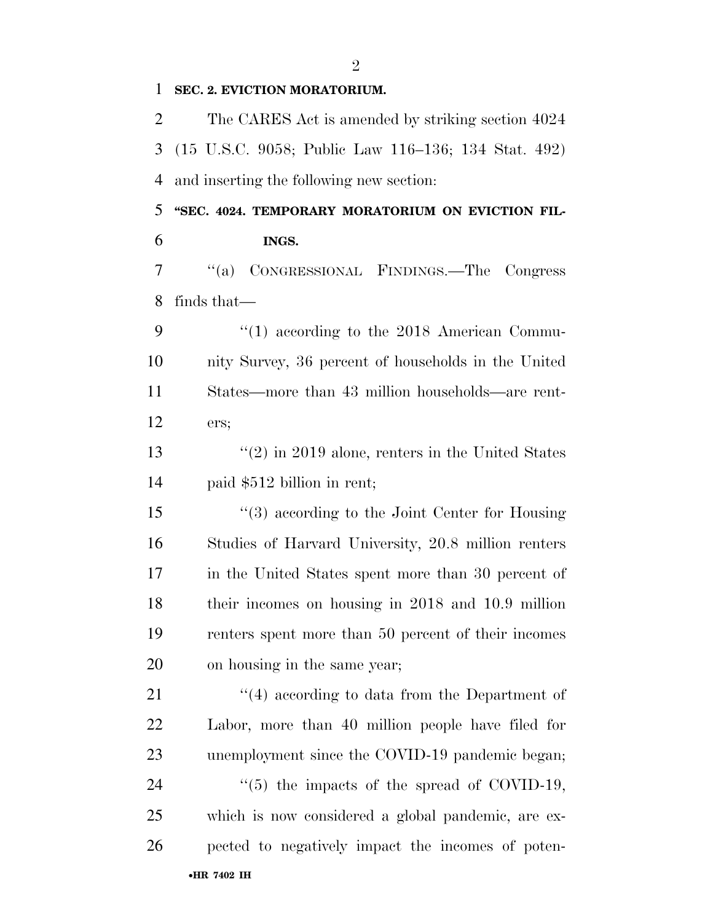**SEC. 2. EVICTION MORATORIUM.** 

 The CARES Act is amended by striking section 4024 (15 U.S.C. 9058; Public Law 116–136; 134 Stat. 492) and inserting the following new section:

 **''SEC. 4024. TEMPORARY MORATORIUM ON EVICTION FIL-INGS.** 

 ''(a) CONGRESSIONAL FINDINGS.—The Congress finds that—

 $\frac{1}{2}$  (1) according to the 2018 American Commu- nity Survey, 36 percent of households in the United States—more than 43 million households—are rent-ers;

13 ''(2) in 2019 alone, renters in the United States paid \$512 billion in rent;

 ''(3) according to the Joint Center for Housing Studies of Harvard University, 20.8 million renters in the United States spent more than 30 percent of their incomes on housing in 2018 and 10.9 million renters spent more than 50 percent of their incomes on housing in the same year;

•**HR 7402 IH** 21 ''(4) according to data from the Department of Labor, more than 40 million people have filed for 23 unemployment since the COVID-19 pandemic began; 24  $\frac{1}{2}$  (5) the impacts of the spread of COVID-19, which is now considered a global pandemic, are ex-pected to negatively impact the incomes of poten-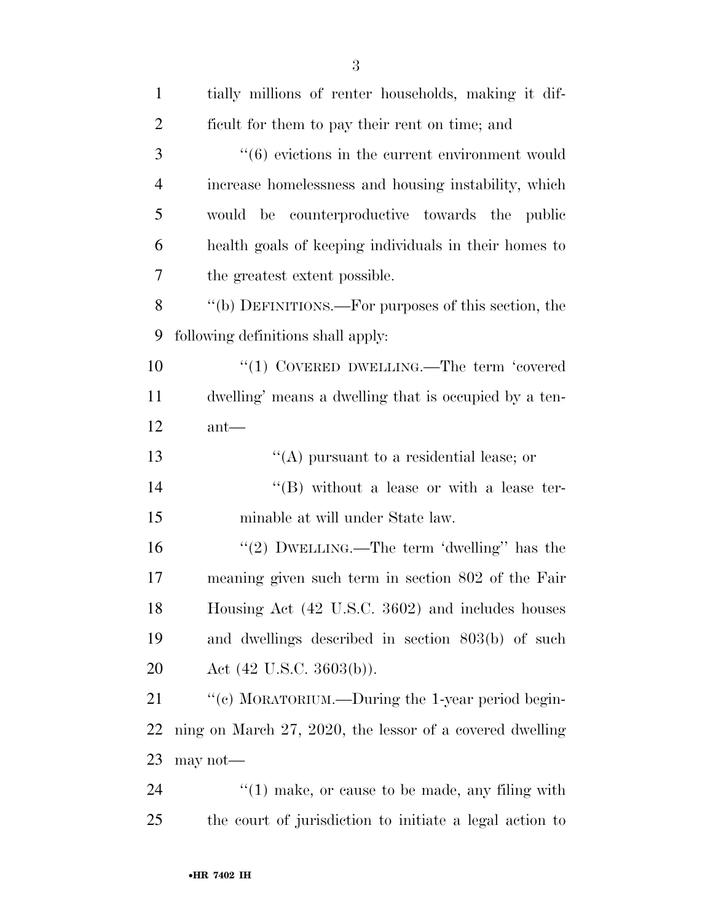| $\mathbf{1}$   | tially millions of renter households, making it dif-            |
|----------------|-----------------------------------------------------------------|
| $\overline{2}$ | ficult for them to pay their rent on time; and                  |
| 3              | $\cdot\cdot\cdot(6)$ evictions in the current environment would |
| $\overline{4}$ | increase homelessness and housing instability, which            |
| 5              | would be counterproductive towards the public                   |
| 6              | health goals of keeping individuals in their homes to           |
| 7              | the greatest extent possible.                                   |
| 8              | "(b) DEFINITIONS.—For purposes of this section, the             |
| 9              | following definitions shall apply:                              |
| 10             | "(1) COVERED DWELLING.—The term 'covered                        |
| 11             | dwelling' means a dwelling that is occupied by a ten-           |
| 12             | $ant$ —                                                         |
|                |                                                                 |
|                | "(A) pursuant to a residential lease; or                        |
|                | $\lq\lq (B)$ without a lease or with a lease ter-               |
| 13<br>14<br>15 | minable at will under State law.                                |
|                | "(2) DWELLING.—The term 'dwelling'' has the                     |
| 16<br>17       | meaning given such term in section 802 of the Fair              |
| 18             | Housing Act (42 U.S.C. 3602) and includes houses                |
| 19             | and dwellings described in section 803(b) of such               |
| 20             | Act $(42 \text{ U.S.C. } 3603(b))$ .                            |
| 21             | "(c) MORATORIUM.—During the 1-year period begin-                |
| 22             | ning on March 27, 2020, the lessor of a covered dwelling        |
| 23             | $may not$ —                                                     |

the court of jurisdiction to initiate a legal action to

•**HR 7402 IH**